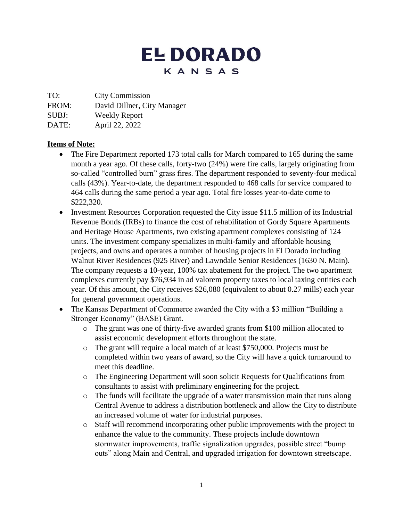## **EL DORADO** KANSAS

TO: City Commission

FROM: David Dillner, City Manager

SUBJ: Weekly Report

DATE: April 22, 2022

## **Items of Note:**

- The Fire Department reported 173 total calls for March compared to 165 during the same month a year ago. Of these calls, forty-two (24%) were fire calls, largely originating from so-called "controlled burn" grass fires. The department responded to seventy-four medical calls (43%). Year-to-date, the department responded to 468 calls for service compared to 464 calls during the same period a year ago. Total fire losses year-to-date come to \$222,320.
- Investment Resources Corporation requested the City issue \$11.5 million of its Industrial Revenue Bonds (IRBs) to finance the cost of rehabilitation of Gordy Square Apartments and Heritage House Apartments, two existing apartment complexes consisting of 124 units. The investment company specializes in multi-family and affordable housing projects, and owns and operates a number of housing projects in El Dorado including Walnut River Residences (925 River) and Lawndale Senior Residences (1630 N. Main). The company requests a 10-year, 100% tax abatement for the project. The two apartment complexes currently pay \$76,934 in ad valorem property taxes to local taxing entities each year. Of this amount, the City receives \$26,080 (equivalent to about 0.27 mills) each year for general government operations.
- The Kansas Department of Commerce awarded the City with a \$3 million "Building a Stronger Economy" (BASE) Grant.
	- o The grant was one of thirty-five awarded grants from \$100 million allocated to assist economic development efforts throughout the state.
	- o The grant will require a local match of at least \$750,000. Projects must be completed within two years of award, so the City will have a quick turnaround to meet this deadline.
	- o The Engineering Department will soon solicit Requests for Qualifications from consultants to assist with preliminary engineering for the project.
	- o The funds will facilitate the upgrade of a water transmission main that runs along Central Avenue to address a distribution bottleneck and allow the City to distribute an increased volume of water for industrial purposes.
	- o Staff will recommend incorporating other public improvements with the project to enhance the value to the community. These projects include downtown stormwater improvements, traffic signalization upgrades, possible street "bump outs" along Main and Central, and upgraded irrigation for downtown streetscape.